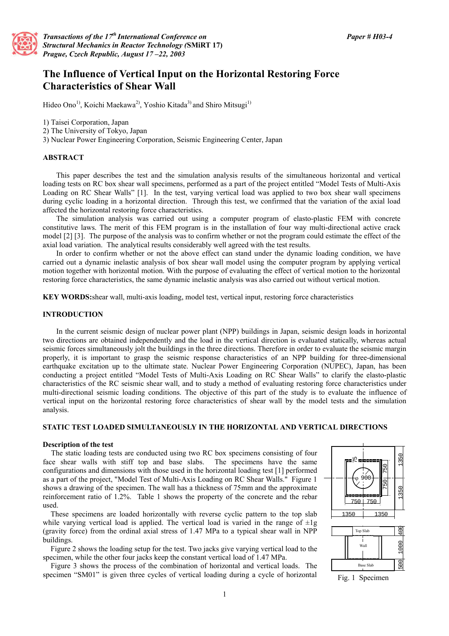

*Transactions of the 17th International Conference on Structural Mechanics in Reactor Technology (***SMiRT 17)**  *Prague, Czech Republic, August 17 –22, 2003*

# **The Influence of Vertical Input on the Horizontal Restoring Force Characteristics of Shear Wall**

Hideo Ono<sup>1)</sup>, Koichi Maekawa<sup>2)</sup>, Yoshio Kitada<sup>3)</sup> and Shiro Mitsugi<sup>1)</sup>

1) Taisei Corporation, Japan

- 2) The University of Tokyo, Japan
- 3) Nuclear Power Engineering Corporation, Seismic Engineering Center, Japan

#### **ABSTRACT**

This paper describes the test and the simulation analysis results of the simultaneous horizontal and vertical loading tests on RC box shear wall specimens, performed as a part of the project entitled "Model Tests of Multi-Axis Loading on RC Shear Walls" [1]. In the test, varying vertical load was applied to two box shear wall specimens during cyclic loading in a horizontal direction. Through this test, we confirmed that the variation of the axial load affected the horizontal restoring force characteristics.

The simulation analysis was carried out using a computer program of elasto-plastic FEM with concrete constitutive laws. The merit of this FEM program is in the installation of four way multi-directional active crack model [2] [3]. The purpose of the analysis was to confirm whether or not the program could estimate the effect of the axial load variation. The analytical results considerably well agreed with the test results.

In order to confirm whether or not the above effect can stand under the dynamic loading condition, we have carried out a dynamic inelastic analysis of box shear wall model using the computer program by applying vertical motion together with horizontal motion. With the purpose of evaluating the effect of vertical motion to the horizontal restoring force characteristics, the same dynamic inelastic analysis was also carried out without vertical motion.

**KEY WORDS:**shear wall, multi-axis loading, model test, vertical input, restoring force characteristics

### **INTRODUCTION**

In the current seismic design of nuclear power plant (NPP) buildings in Japan, seismic design loads in horizontal two directions are obtained independently and the load in the vertical direction is evaluated statically, whereas actual seismic forces simultaneously jolt the buildings in the three directions. Therefore in order to evaluate the seismic margin properly, it is important to grasp the seismic response characteristics of an NPP building for three-dimensional earthquake excitation up to the ultimate state. Nuclear Power Engineering Corporation (NUPEC), Japan, has been conducting a project entitled "Model Tests of Multi-Axis Loading on RC Shear Walls" to clarify the elasto-plastic characteristics of the RC seismic shear wall, and to study a method of evaluating restoring force characteristics under multi-directional seismic loading conditions. The objective of this part of the study is to evaluate the influence of vertical input on the horizontal restoring force characteristics of shear wall by the model tests and the simulation analysis.

# **STATIC TEST LOADED SIMULTANEOUSLY IN THE HORIZONTAL AND VERTICAL DIRECTIONS**

#### **Description of the test**

The static loading tests are conducted using two RC box specimens consisting of four face shear walls with stiff top and base slabs. The specimens have the same configurations and dimensions with those used in the horizontal loading test [1] performed as a part of the project, "Model Test of Multi-Axis Loading on RC Shear Walls." Figure 1 shows a drawing of the specimen. The wall has a thickness of 75mm and the approximate reinforcement ratio of 1.2%. Table 1 shows the property of the concrete and the rebar used.

These specimens are loaded horizontally with reverse cyclic pattern to the top slab while varying vertical load is applied. The vertical load is varied in the range of  $\pm 1g$ (gravity force) from the ordinal axial stress of 1.47 MPa to a typical shear wall in NPP buildings.

Figure 2 shows the loading setup for the test. Two jacks give varying vertical load to the specimen, while the other four jacks keep the constant vertical load of 1.47 MPa.

Figure 3 shows the process of the combination of horizontal and vertical loads. The specimen "SM01" is given three cycles of vertical loading during a cycle of horizontal



Fig. 1 Specimen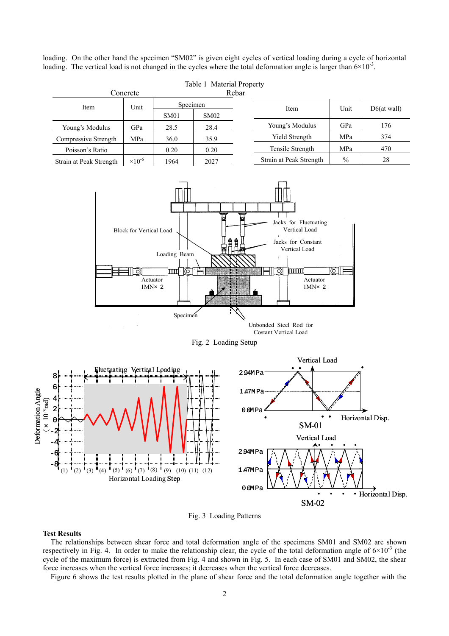loading. On the other hand the specimen "SM02" is given eight cycles of vertical loading during a cycle of horizontal loading. The vertical load is not changed in the cycles where the total deformation angle is larger than  $6\times10^{-3}$ .

| Table 1 Material Property |                           |          |      |      |                         |             |     |
|---------------------------|---------------------------|----------|------|------|-------------------------|-------------|-----|
| Concrete                  |                           | Rebar    |      |      |                         |             |     |
| Item                      | Unit                      | Specimen |      | Item | Unit                    | D6(at wall) |     |
|                           |                           | SM01     | SM02 |      |                         |             |     |
| Young's Modulus           | GPa                       | 28.5     | 28.4 |      | Young's Modulus         | GPa         | 176 |
| Compressive Strength      | MPa                       | 36.0     | 35.9 |      | <b>Yield Strength</b>   | MPa         | 374 |
| Poisson's Ratio           |                           | 0.20     | 0.20 |      | Tensile Strength        | MPa         | 470 |
| Strain at Peak Strength   | $\times$ 10 <sup>-6</sup> | 1964     | 2027 |      | Strain at Peak Strength | $\%$        | 28  |



Unbonded Steel Rod for Costant Vertical Load

Fig. 2 Loading Setup



Fig. 3 Loading Patterns

# **Test Results**

The relationships between shear force and total deformation angle of the specimens SM01 and SM02 are shown respectively in Fig. 4. In order to make the relationship clear, the cycle of the total deformation angle of  $6\times10^{-3}$  (the cycle of the maximum force) is extracted from Fig. 4 and shown in Fig. 5. In each case of SM01 and SM02, the shear force increases when the vertical force increases; it decreases when the vertical force decreases.

Figure 6 shows the test results plotted in the plane of shear force and the total deformation angle together with the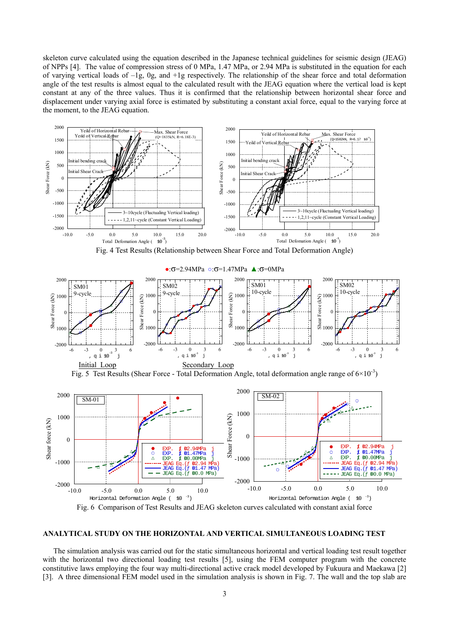skeleton curve calculated using the equation described in the Japanese technical guidelines for seismic design (JEAG) of NPPs [4]. The value of compression stress of 0 MPa, 1.47 MPa, or 2.94 MPa is substituted in the equation for each of varying vertical loads of –1g, 0g, and +1g respectively. The relationship of the shear force and total deformation angle of the test results is almost equal to the calculated result with the JEAG equation where the vertical load is kept constant at any of the three values. Thus it is confirmed that the relationship between horizontal shear force and displacement under varying axial force is estimated by substituting a constant axial force, equal to the varying force at the moment, to the JEAG equation.



# **ANALYTICAL STUDY ON THE HORIZONTAL AND VERTICAL SIMULTANEOUS LOADING TEST**

The simulation analysis was carried out for the static simultaneous horizontal and vertical loading test result together with the horizontal two directional loading test results [5], using the FEM computer program with the concrete constitutive laws employing the four way multi-directional active crack model developed by Fukuura and Maekawa [2] [3]. A three dimensional FEM model used in the simulation analysis is shown in Fig. 7. The wall and the top slab are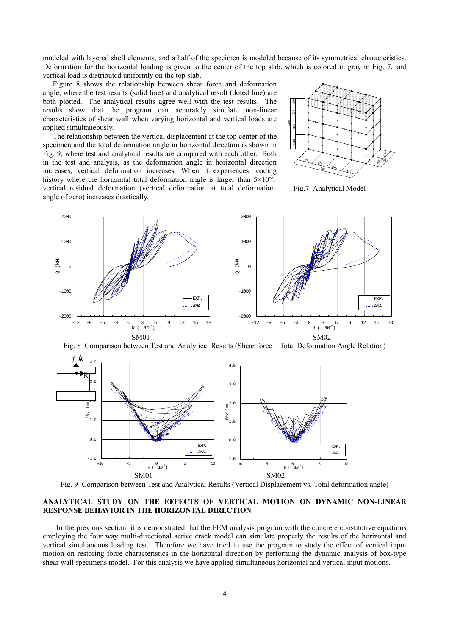modeled with layered shell elements, and a half of the specimen is modeled because of its symmetrical characteristics. Deformation for the horizontal loading is given to the center of the top slab, which is colored in gray in Fig. 7, and vertical load is distributed uniformly on the top slab.

Figure 8 shows the relationship between shear force and deformation angle, where the test results (solid line) and analytical result (doted line) are both plotted. The analytical results agree well with the test results. The results show that the program can accurately simulate non-linear characteristics of shear wall when varying horizontal and vertical loads are applied simultaneously.

The relationship between the vertical displacement at the top center of the specimen and the total deformation angle in horizontal direction is shown in Fig. 9, where test and analytical results are compared with each other. Both in the test and analysis, as the deformation angle in horizontal direction increases, vertical deformation increases. When it experiences loading history where the horizontal total deformation angle is larger than  $5\times10^{-3}$ , vertical residual deformation (vertical deformation at total deformation angle of zero) increases drastically.



Fig.7 Analytical Model



Fig. 8 Comparison between Test and Analytical Results (Shear force – Total Deformation Angle Relation)



Fig. 9 Comparison between Test and Analytical Results (Vertical Displacement vs. Total deformation angle)

# **ANALYTICAL STUDY ON THE EFFECTS OF VERTICAL MOTION ON DYNAMIC NON-LINEAR RESPONSE BEHAVIOR IN THE HORIZONTAL DIRECTION**

In the previous section, it is demonstrated that the FEM analysis program with the concrete constitutive equations employing the four way multi-directional active crack model can simulate properly the results of the horizontal and vertical simultaneous loading test. Therefore we have tried to use the program to study the effect of vertical input motion on restoring force characteristics in the horizontal direction by performing the dynamic analysis of box-type shear wall specimens model. For this analysis we have applied simultaneous horizontal and vertical input motions.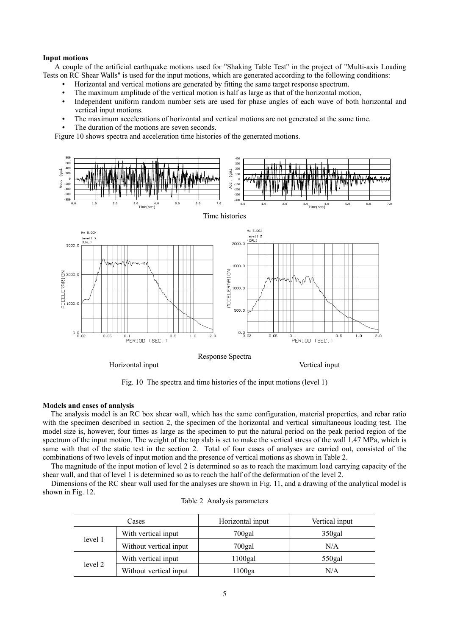#### **Input motions**

A couple of the artificial earthquake motions used for "Shaking Table Test" in the project of "Multi-axis Loading Tests on RC Shear Walls" is used for the input motions, which are generated according to the following conditions:

- Horizontal and vertical motions are generated by fitting the same target response spectrum.
- The maximum amplitude of the vertical motion is half as large as that of the horizontal motion,
- Independent uniform random number sets are used for phase angles of each wave of both horizontal and vertical input motions.
- The maximum accelerations of horizontal and vertical motions are not generated at the same time.
- The duration of the motions are seven seconds.

Figure 10 shows spectra and acceleration time histories of the generated motions.



Fig. 10 The spectra and time histories of the input motions (level 1)

#### **Models and cases of analysis**

The analysis model is an RC box shear wall, which has the same configuration, material properties, and rebar ratio with the specimen described in section 2, the specimen of the horizontal and vertical simultaneous loading test. The model size is, however, four times as large as the specimen to put the natural period on the peak period region of the spectrum of the input motion. The weight of the top slab is set to make the vertical stress of the wall 1.47 MPa, which is same with that of the static test in the section 2. Total of four cases of analyses are carried out, consisted of the combinations of two levels of input motion and the presence of vertical motions as shown in Table 2.

The magnitude of the input motion of level 2 is determined so as to reach the maximum load carrying capacity of the shear wall, and that of level 1 is determined so as to reach the half of the deformation of the level 2.

Dimensions of the RC shear wall used for the analyses are shown in Fig. 11, and a drawing of the analytical model is shown in Fig. 12.

| Cases   |                        | Horizontal input | Vertical input     |  |
|---------|------------------------|------------------|--------------------|--|
|         | With vertical input    | 700gal           | 350 <sub>gal</sub> |  |
| level 1 | Without vertical input | $700$ gal        | N/A                |  |
| level 2 | With vertical input    | $1100$ gal       | $550$ gal          |  |
|         | Without vertical input | 1100ga           | N/A                |  |

|  |  | Table 2 Analysis parameters |
|--|--|-----------------------------|
|--|--|-----------------------------|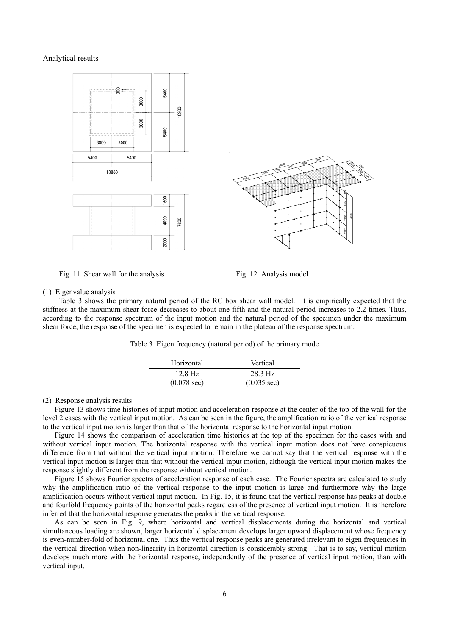#### Analytical results





Fig. 11 Shear wall for the analysis Fig. 12 Analysis model

#### (1) Eigenvalue analysis

Table 3 shows the primary natural period of the RC box shear wall model. It is empirically expected that the stiffness at the maximum shear force decreases to about one fifth and the natural period increases to 2.2 times. Thus, according to the response spectrum of the input motion and the natural period of the specimen under the maximum shear force, the response of the specimen is expected to remain in the plateau of the response spectrum.

| Horizontal            | Vertical              |
|-----------------------|-----------------------|
| $12.8$ Hz             | 28.3 Hz               |
| $(0.078 \text{ sec})$ | $(0.035 \text{ sec})$ |

Table 3 Eigen frequency (natural period) of the primary mode

#### (2) Response analysis results

Figure 13 shows time histories of input motion and acceleration response at the center of the top of the wall for the level 2 cases with the vertical input motion. As can be seen in the figure, the amplification ratio of the vertical response to the vertical input motion is larger than that of the horizontal response to the horizontal input motion.

Figure 14 shows the comparison of acceleration time histories at the top of the specimen for the cases with and without vertical input motion. The horizontal response with the vertical input motion does not have conspicuous difference from that without the vertical input motion. Therefore we cannot say that the vertical response with the vertical input motion is larger than that without the vertical input motion, although the vertical input motion makes the response slightly different from the response without vertical motion.

Figure 15 shows Fourier spectra of acceleration response of each case. The Fourier spectra are calculated to study why the amplification ratio of the vertical response to the input motion is large and furthermore why the large amplification occurs without vertical input motion. In Fig. 15, it is found that the vertical response has peaks at double and fourfold frequency points of the horizontal peaks regardless of the presence of vertical input motion. It is therefore inferred that the horizontal response generates the peaks in the vertical response.

As can be seen in Fig. 9, where horizontal and vertical displacements during the horizontal and vertical simultaneous loading are shown, larger horizontal displacement develops larger upward displacement whose frequency is even-number-fold of horizontal one. Thus the vertical response peaks are generated irrelevant to eigen frequencies in the vertical direction when non-linearity in horizontal direction is considerably strong. That is to say, vertical motion develops much more with the horizontal response, independently of the presence of vertical input motion, than with vertical input.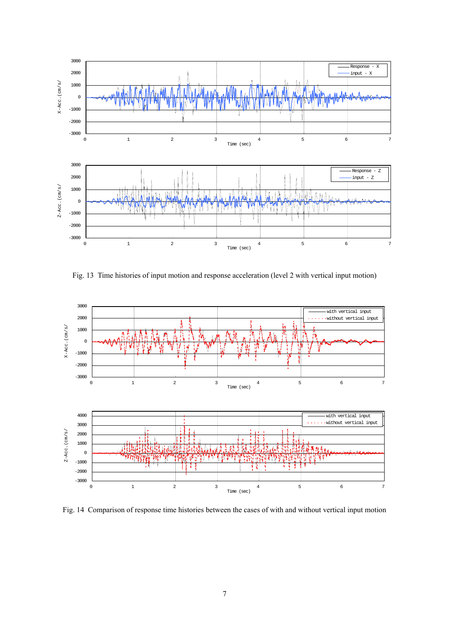

Fig. 13 Time histories of input motion and response acceleration (level 2 with vertical input motion)



Fig. 14 Comparison of response time histories between the cases of with and without vertical input motion